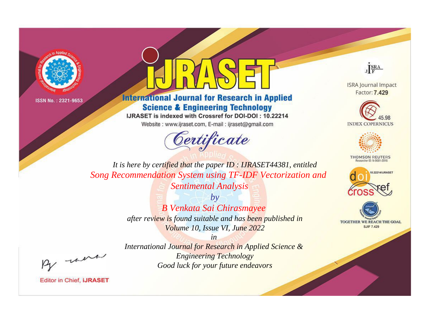



## **International Journal for Research in Applied Science & Engineering Technology**

IJRASET is indexed with Crossref for DOI-DOI: 10.22214

Website: www.ijraset.com, E-mail: ijraset@gmail.com



JERA

**ISRA Journal Impact** Factor: 7.429





**THOMSON REUTERS** 



TOGETHER WE REACH THE GOAL **SJIF 7.429** 

It is here by certified that the paper ID: IJRASET44381, entitled Song Recommendation System using TF-IDF Vectorization and Sentimental Analysis

> $b\nu$ **B Venkata Sai Chirasmayee** after review is found suitable and has been published in Volume 10, Issue VI, June 2022

> > $in$

International Journal for Research in Applied Science & **Engineering Technology** Good luck for your future endeavors

were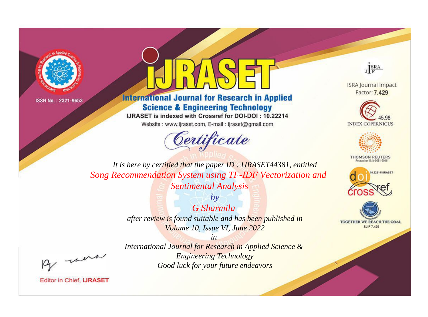



## **International Journal for Research in Applied Science & Engineering Technology**

IJRASET is indexed with Crossref for DOI-DOI: 10.22214

Website: www.ijraset.com, E-mail: ijraset@gmail.com



JERA

**ISRA Journal Impact** Factor: 7.429





**THOMSON REUTERS** 



TOGETHER WE REACH THE GOAL **SJIF 7.429** 

It is here by certified that the paper ID: IJRASET44381, entitled Song Recommendation System using TF-IDF Vectorization and **Sentimental Analysis** 

> $b\nu$ G Sharmila after review is found suitable and has been published in Volume 10, Issue VI, June 2022

were

International Journal for Research in Applied Science & **Engineering Technology** Good luck for your future endeavors

 $in$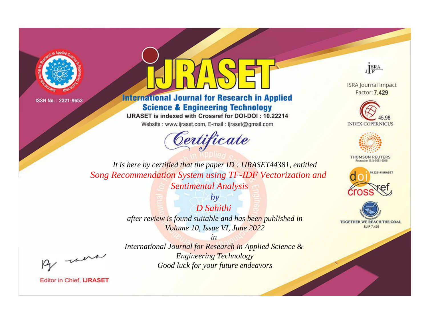



## **International Journal for Research in Applied Science & Engineering Technology**

IJRASET is indexed with Crossref for DOI-DOI: 10.22214

Website: www.ijraset.com, E-mail: ijraset@gmail.com



JERA

**ISRA Journal Impact** Factor: 7.429





**THOMSON REUTERS** 



TOGETHER WE REACH THE GOAL **SJIF 7.429** 

It is here by certified that the paper ID: IJRASET44381, entitled Song Recommendation System using TF-IDF Vectorization and **Sentimental Analysis** 

> **D** Sahithi after review is found suitable and has been published in Volume 10, Issue VI, June 2022

 $b\nu$ 

 $in$ International Journal for Research in Applied Science & **Engineering Technology** Good luck for your future endeavors

were